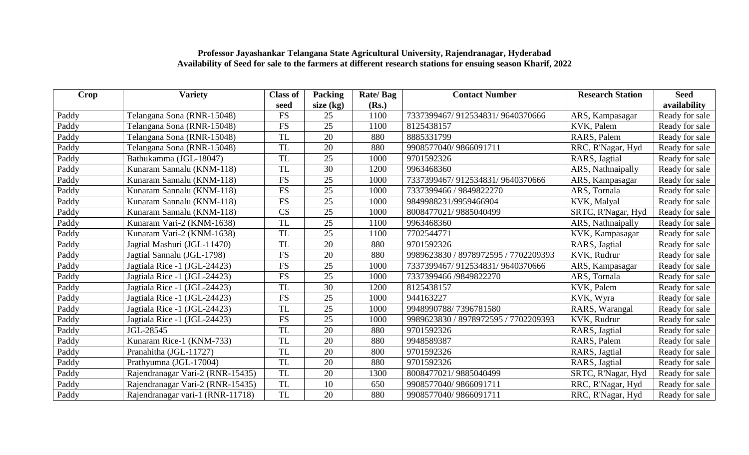| Crop  | <b>Variety</b>                   | <b>Class of</b> | Packing         | Rate/Bag | <b>Contact Number</b>                | <b>Research Station</b> | <b>Seed</b>    |
|-------|----------------------------------|-----------------|-----------------|----------|--------------------------------------|-------------------------|----------------|
|       |                                  | seed            | size $(kg)$     | (Rs.)    |                                      |                         | availability   |
| Paddy | Telangana Sona (RNR-15048)       | <b>FS</b>       | 25              | 1100     | 7337399467/912534831/9640370666      | ARS, Kampasagar         | Ready for sale |
| Paddy | Telangana Sona (RNR-15048)       | <b>FS</b>       | 25              | 1100     | 8125438157                           | KVK, Palem              | Ready for sale |
| Paddy | Telangana Sona (RNR-15048)       | <b>TL</b>       | 20              | 880      | 8885331799                           | RARS, Palem             | Ready for sale |
| Paddy | Telangana Sona (RNR-15048)       | <b>TL</b>       | 20              | 880      | 9908577040/9866091711                | RRC, R'Nagar, Hyd       | Ready for sale |
| Paddy | Bathukamma (JGL-18047)           | <b>TL</b>       | 25              | 1000     | 9701592326                           | RARS, Jagtial           | Ready for sale |
| Paddy | Kunaram Sannalu (KNM-118)        | TL              | 30              | 1200     | 9963468360                           | ARS, Nathnaipally       | Ready for sale |
| Paddy | Kunaram Sannalu (KNM-118)        | <b>FS</b>       | 25              | 1000     | 7337399467/912534831/9640370666      | ARS, Kampasagar         | Ready for sale |
| Paddy | Kunaram Sannalu (KNM-118)        | <b>FS</b>       | 25              | 1000     | 7337399466 / 9849822270              | ARS, Tornala            | Ready for sale |
| Paddy | Kunaram Sannalu (KNM-118)        | <b>FS</b>       | 25              | 1000     | 9849988231/9959466904                | KVK, Malyal             | Ready for sale |
| Paddy | Kunaram Sannalu (KNM-118)        | CS              | 25              | 1000     | 8008477021/9885040499                | SRTC, R'Nagar, Hyd      | Ready for sale |
| Paddy | Kunaram Vari-2 (KNM-1638)        | <b>TL</b>       | 25              | 1100     | 9963468360                           | ARS, Nathnaipally       | Ready for sale |
| Paddy | Kunaram Vari-2 (KNM-1638)        | <b>TL</b>       | 25              | 1100     | 7702544771                           | KVK, Kampasagar         | Ready for sale |
| Paddy | Jagtial Mashuri (JGL-11470)      | <b>TL</b>       | 20              | 880      | 9701592326                           | RARS, Jagtial           | Ready for sale |
| Paddy | Jagtial Sannalu (JGL-1798)       | <b>FS</b>       | 20              | 880      | 9989623830 / 8978972595 / 7702209393 | KVK, Rudrur             | Ready for sale |
| Paddy | Jagtiala Rice -1 (JGL-24423)     | <b>FS</b>       | 25              | 1000     | 7337399467/912534831/9640370666      | ARS, Kampasagar         | Ready for sale |
| Paddy | Jagtiala Rice -1 (JGL-24423)     | <b>FS</b>       | $\overline{25}$ | 1000     | 7337399466 /9849822270               | ARS, Tornala            | Ready for sale |
| Paddy | Jagtiala Rice -1 (JGL-24423)     | <b>TL</b>       | 30              | 1200     | 8125438157                           | KVK, Palem              | Ready for sale |
| Paddy | Jagtiala Rice -1 (JGL-24423)     | <b>FS</b>       | 25              | 1000     | 944163227                            | KVK, Wyra               | Ready for sale |
| Paddy | Jagtiala Rice -1 (JGL-24423)     | <b>TL</b>       | 25              | 1000     | 9948990788/7396781580                | RARS, Warangal          | Ready for sale |
| Paddy | Jagtiala Rice -1 (JGL-24423)     | <b>FS</b>       | 25              | 1000     | 9989623830 / 8978972595 / 7702209393 | KVK, Rudrur             | Ready for sale |
| Paddy | JGL-28545                        | <b>TL</b>       | 20              | 880      | 9701592326                           | RARS, Jagtial           | Ready for sale |
| Paddy | Kunaram Rice-1 (KNM-733)         | <b>TL</b>       | 20              | 880      | 9948589387                           | RARS, Palem             | Ready for sale |
| Paddy | Pranahitha (JGL-11727)           | <b>TL</b>       | 20              | 800      | 9701592326                           | RARS, Jagtial           | Ready for sale |
| Paddy | Prathyumna (JGL-17004)           | <b>TL</b>       | 20              | 880      | 9701592326                           | RARS, Jagtial           | Ready for sale |
| Paddy | Rajendranagar Vari-2 (RNR-15435) | <b>TL</b>       | 20              | 1300     | 8008477021/9885040499                | SRTC, R'Nagar, Hyd      | Ready for sale |
| Paddy | Rajendranagar Vari-2 (RNR-15435) | TL              | 10              | 650      | 9908577040/9866091711                | RRC, R'Nagar, Hyd       | Ready for sale |
| Paddy | Rajendranagar vari-1 (RNR-11718) | <b>TL</b>       | $\overline{20}$ | 880      | 9908577040/9866091711                | RRC, R'Nagar, Hyd       | Ready for sale |

## **Professor Jayashankar Telangana State Agricultural University, Rajendranagar, Hyderabad Availability of Seed for sale to the farmers at different research stations for ensuing season Kharif, 2022**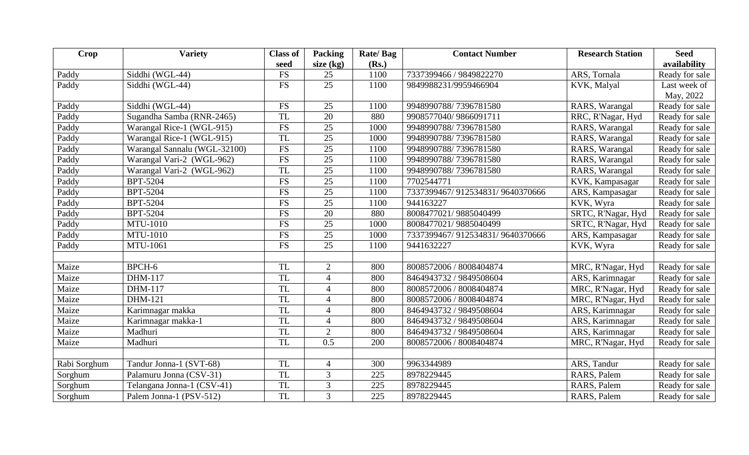| <b>Crop</b>  | <b>Variety</b>               | <b>Class of</b>      | Packing         | Rate/Bag | <b>Contact Number</b>           | <b>Research Station</b> | <b>Seed</b>    |
|--------------|------------------------------|----------------------|-----------------|----------|---------------------------------|-------------------------|----------------|
|              |                              | seed                 | size $(kg)$     | (Rs.)    |                                 |                         | availability   |
| Paddy        | Siddhi (WGL-44)              | <b>FS</b>            | 25              | 1100     | 7337399466 / 9849822270         | ARS, Tornala            | Ready for sale |
| Paddy        | Siddhi (WGL-44)              | <b>FS</b>            | 25              | 1100     | 9849988231/9959466904           | KVK, Malyal             | Last week of   |
|              |                              |                      |                 |          |                                 |                         | May, 2022      |
| Paddy        | Siddhi (WGL-44)              | $\mathop{\text{FS}}$ | 25              | 1100     | 9948990788/7396781580           | RARS, Warangal          | Ready for sale |
| Paddy        | Sugandha Samba (RNR-2465)    | <b>TL</b>            | 20              | 880      | 9908577040/9866091711           | RRC, R'Nagar, Hyd       | Ready for sale |
| Paddy        | Warangal Rice-1 (WGL-915)    | <b>FS</b>            | 25              | 1000     | 9948990788/7396781580           | RARS, Warangal          | Ready for sale |
| Paddy        | Warangal Rice-1 (WGL-915)    | <b>TL</b>            | $\overline{25}$ | 1000     | 9948990788/7396781580           | RARS, Warangal          | Ready for sale |
| Paddy        | Warangal Sannalu (WGL-32100) | $\mathop{\text{FS}}$ | 25              | 1100     | 9948990788/7396781580           | RARS, Warangal          | Ready for sale |
| Paddy        | Warangal Vari-2 (WGL-962)    | <b>FS</b>            | $\overline{25}$ | 1100     | 9948990788/7396781580           | RARS, Warangal          | Ready for sale |
| Paddy        | Warangal Vari-2 (WGL-962)    | <b>TL</b>            | 25              | 1100     | 9948990788/7396781580           | RARS, Warangal          | Ready for sale |
| Paddy        | <b>BPT-5204</b>              | <b>FS</b>            | $\overline{25}$ | 1100     | 7702544771                      | KVK, Kampasagar         | Ready for sale |
| Paddy        | <b>BPT-5204</b>              | <b>FS</b>            | 25              | 1100     | 7337399467/912534831/9640370666 | ARS, Kampasagar         | Ready for sale |
| Paddy        | <b>BPT-5204</b>              | <b>FS</b>            | $\overline{25}$ | 1100     | 944163227                       | KVK, Wyra               | Ready for sale |
| Paddy        | <b>BPT-5204</b>              | <b>FS</b>            | 20              | 880      | 8008477021/9885040499           | SRTC, R'Nagar, Hyd      | Ready for sale |
| Paddy        | <b>MTU-1010</b>              | <b>FS</b>            | 25              | 1000     | 8008477021/9885040499           | SRTC, R'Nagar, Hyd      | Ready for sale |
| Paddy        | <b>MTU-1010</b>              | <b>FS</b>            | $\overline{25}$ | 1000     | 7337399467/912534831/9640370666 | ARS, Kampasagar         | Ready for sale |
| Paddy        | MTU-1061                     | <b>FS</b>            | $\overline{25}$ | 1100     | 9441632227                      | KVK, Wyra               | Ready for sale |
|              |                              |                      |                 |          |                                 |                         |                |
| Maize        | BPCH-6                       | <b>TL</b>            | 2               | 800      | 8008572006 / 8008404874         | MRC, R'Nagar, Hyd       | Ready for sale |
| Maize        | DHM-117                      | <b>TL</b>            | $\overline{4}$  | 800      | 8464943732 / 9849508604         | ARS, Karimnagar         | Ready for sale |
| Maize        | DHM-117                      | <b>TL</b>            | $\overline{4}$  | 800      | 8008572006 / 8008404874         | MRC, R'Nagar, Hyd       | Ready for sale |
| Maize        | <b>DHM-121</b>               | <b>TL</b>            | $\overline{4}$  | 800      | 8008572006 / 8008404874         | MRC, R'Nagar, Hyd       | Ready for sale |
| Maize        | Karimnagar makka             | <b>TL</b>            | $\overline{4}$  | 800      | 8464943732 / 9849508604         | ARS, Karimnagar         | Ready for sale |
| Maize        | Karimnagar makka-1           | <b>TL</b>            | $\overline{4}$  | 800      | 8464943732 / 9849508604         | ARS, Karimnagar         | Ready for sale |
| Maize        | Madhuri                      | <b>TL</b>            | $\overline{2}$  | 800      | 8464943732 / 9849508604         | ARS, Karimnagar         | Ready for sale |
| Maize        | Madhuri                      | <b>TL</b>            | 0.5             | 200      | 8008572006 / 8008404874         | MRC, R'Nagar, Hyd       | Ready for sale |
|              |                              |                      |                 |          |                                 |                         |                |
| Rabi Sorghum | Tandur Jonna-1 (SVT-68)      | <b>TL</b>            | $\overline{4}$  | 300      | 9963344989                      | ARS, Tandur             | Ready for sale |
| Sorghum      | Palamuru Jonna (CSV-31)      | <b>TL</b>            | 3               | 225      | 8978229445                      | RARS, Palem             | Ready for sale |
| Sorghum      | Telangana Jonna-1 (CSV-41)   | <b>TL</b>            | $\mathfrak{Z}$  | 225      | 8978229445                      | RARS, Palem             | Ready for sale |
| Sorghum      | Palem Jonna-1 (PSV-512)      | TL                   | $\overline{3}$  | 225      | 8978229445                      | RARS, Palem             | Ready for sale |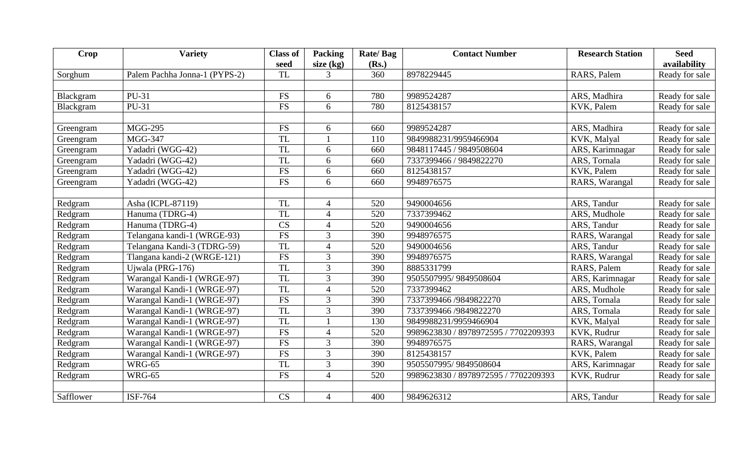| Crop      | <b>Variety</b>                | <b>Class of</b><br>seed | Packing<br>size $(kg)$ | Rate/Bag<br>(Rs.) | <b>Contact Number</b>                | <b>Research Station</b> | <b>Seed</b><br>availability |
|-----------|-------------------------------|-------------------------|------------------------|-------------------|--------------------------------------|-------------------------|-----------------------------|
| Sorghum   | Palem Pachha Jonna-1 (PYPS-2) | <b>TL</b>               | $\overline{3}$         | 360               | 8978229445                           | RARS, Palem             | Ready for sale              |
|           |                               |                         |                        |                   |                                      |                         |                             |
| Blackgram | PU-31                         | <b>FS</b>               | 6                      | 780               | 9989524287                           | ARS, Madhira            | Ready for sale              |
| Blackgram | PU-31                         | <b>FS</b>               | 6                      | 780               | 8125438157                           | KVK, Palem              | Ready for sale              |
|           |                               |                         |                        |                   |                                      |                         |                             |
| Greengram | <b>MGG-295</b>                | <b>FS</b>               | 6                      | 660               | 9989524287                           | ARS, Madhira            | Ready for sale              |
| Greengram | <b>MGG-347</b>                | <b>TL</b>               |                        | 110               | 9849988231/9959466904                | KVK, Malyal             | Ready for sale              |
| Greengram | Yadadri (WGG-42)              | <b>TL</b>               | 6                      | 660               | 9848117445 / 9849508604              | ARS, Karimnagar         | Ready for sale              |
| Greengram | Yadadri (WGG-42)              | <b>TL</b>               | 6                      | 660               | 7337399466 / 9849822270              | ARS, Tornala            | Ready for sale              |
| Greengram | Yadadri (WGG-42)              | ${\rm FS}$              | 6                      | 660               | 8125438157                           | KVK, Palem              | Ready for sale              |
| Greengram | Yadadri (WGG-42)              | <b>FS</b>               | 6                      | 660               | 9948976575                           | RARS, Warangal          | Ready for sale              |
|           |                               |                         |                        |                   |                                      |                         |                             |
| Redgram   | Asha (ICPL-87119)             | <b>TL</b>               | $\overline{4}$         | 520               | 9490004656                           | ARS, Tandur             | Ready for sale              |
| Redgram   | Hanuma (TDRG-4)               | <b>TL</b>               | $\overline{4}$         | 520               | 7337399462                           | ARS, Mudhole            | Ready for sale              |
| Redgram   | Hanuma (TDRG-4)               | CS                      | $\overline{4}$         | 520               | 9490004656                           | ARS, Tandur             | Ready for sale              |
| Redgram   | Telangana kandi-1 (WRGE-93)   | <b>FS</b>               | 3                      | 390               | 9948976575                           | RARS, Warangal          | Ready for sale              |
| Redgram   | Telangana Kandi-3 (TDRG-59)   | <b>TL</b>               | $\overline{4}$         | 520               | 9490004656                           | ARS, Tandur             | Ready for sale              |
| Redgram   | Tlangana kandi-2 (WRGE-121)   | ${\rm FS}$              | 3                      | 390               | 9948976575                           | RARS, Warangal          | Ready for sale              |
| Redgram   | Ujwala (PRG-176)              | <b>TL</b>               | 3                      | 390               | 8885331799                           | RARS, Palem             | Ready for sale              |
| Redgram   | Warangal Kandi-1 (WRGE-97)    | <b>TL</b>               | 3                      | 390               | 9505507995/9849508604                | ARS, Karimnagar         | Ready for sale              |
| Redgram   | Warangal Kandi-1 (WRGE-97)    | <b>TL</b>               | $\overline{4}$         | 520               | 7337399462                           | ARS, Mudhole            | Ready for sale              |
| Redgram   | Warangal Kandi-1 (WRGE-97)    | ${\rm FS}$              | 3                      | 390               | 7337399466 /9849822270               | ARS, Tornala            | Ready for sale              |
| Redgram   | Warangal Kandi-1 (WRGE-97)    | <b>TL</b>               | 3                      | 390               | 7337399466 /9849822270               | ARS, Tornala            | Ready for sale              |
| Redgram   | Warangal Kandi-1 (WRGE-97)    | <b>TL</b>               |                        | 130               | 9849988231/9959466904                | KVK, Malyal             | Ready for sale              |
| Redgram   | Warangal Kandi-1 (WRGE-97)    | ${\rm FS}$              | $\overline{4}$         | 520               | 9989623830 / 8978972595 / 7702209393 | KVK, Rudrur             | Ready for sale              |
| Redgram   | Warangal Kandi-1 (WRGE-97)    | ${\rm FS}$              | 3                      | 390               | 9948976575                           | RARS, Warangal          | Ready for sale              |
| Redgram   | Warangal Kandi-1 (WRGE-97)    | $\overline{\text{FS}}$  | $\overline{3}$         | 390               | 8125438157                           | KVK, Palem              | Ready for sale              |
| Redgram   | <b>WRG-65</b>                 | <b>TL</b>               | 3                      | 390               | 9505507995/9849508604                | ARS, Karimnagar         | Ready for sale              |
| Redgram   | <b>WRG-65</b>                 | <b>FS</b>               | $\overline{4}$         | 520               | 9989623830 / 8978972595 / 7702209393 | KVK, Rudrur             | Ready for sale              |
|           |                               |                         |                        |                   |                                      |                         |                             |
| Safflower | ISF-764                       | CS                      | $\overline{4}$         | 400               | 9849626312                           | ARS, Tandur             | Ready for sale              |